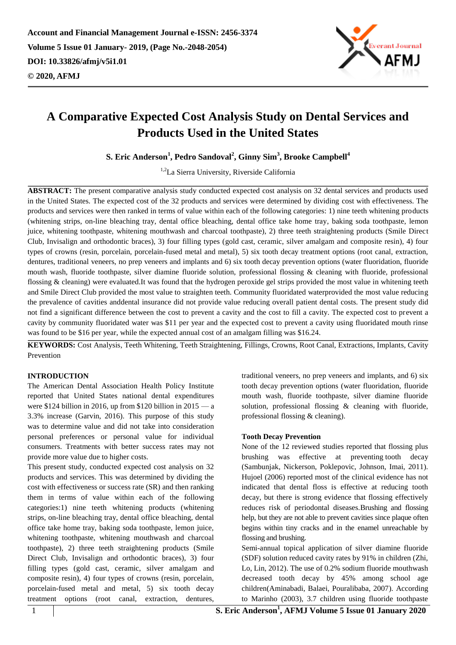

**S. Eric Anderson<sup>1</sup> , Pedro Sandoval<sup>2</sup> , Ginny Sim<sup>3</sup> , Brooke Campbell<sup>4</sup>**

<sup>1,2</sup>La Sierra University, Riverside California

**ABSTRACT:** The present comparative analysis study conducted expected cost analysis on 32 dental services and products used in the United States. The expected cost of the 32 products and services were determined by dividing cost with effectiveness. The products and services were then ranked in terms of value within each of the following categories: 1) nine teeth whitening products (whitening strips, on-line bleaching tray, dental office bleaching, dental office take home tray, baking soda toothpaste, lemon juice, whitening toothpaste, whitening mouthwash and charcoal toothpaste), 2) three teeth straightening products (Smile Direct Club, Invisalign and orthodontic braces), 3) four filling types (gold cast, ceramic, silver amalgam and composite resin), 4) four types of crowns (resin, porcelain, porcelain-fused metal and metal), 5) six tooth decay treatment options (root canal, extraction, dentures, traditional veneers, no prep veneers and implants and 6) six tooth decay prevention options (water fluoridation, fluoride mouth wash, fluoride toothpaste, silver diamine fluoride solution, professional flossing & cleaning with fluoride, professional flossing & cleaning) were evaluated.It was found that the hydrogen peroxide gel strips provided the most value in whitening teeth and Smile Direct Club provided the most value to straighten teeth. Community fluoridated waterprovided the most value reducing the prevalence of cavities anddental insurance did not provide value reducing overall patient dental costs. The present study did not find a significant difference between the cost to prevent a cavity and the cost to fill a cavity. The expected cost to prevent a cavity by community fluoridated water was \$11 per year and the expected cost to prevent a cavity using fluoridated mouth rinse was found to be \$16 per year, while the expected annual cost of an amalgam filling was \$16.24.

**KEYWORDS:** Cost Analysis, Teeth Whitening, Teeth Straightening, Fillings, Crowns, Root Canal, Extractions, Implants, Cavity Prevention

## **INTRODUCTION**

The American Dental Association Health Policy Institute reported that United States national dental expenditures were \$124 billion in 2016, up from \$120 billion in 2015 — a 3.3% increase (Garvin, 2016). This purpose of this study was to determine value and did not take into consideration personal preferences or personal value for individual consumers. Treatments with better success rates may not provide more value due to higher costs.

This present study, conducted expected cost analysis on 32 products and services. This was determined by dividing the cost with effectiveness or success rate (SR) and then ranking them in terms of value within each of the following categories:1) nine teeth whitening products (whitening strips, on-line bleaching tray, dental office bleaching, dental office take home tray, baking soda toothpaste, lemon juice, whitening toothpaste, whitening mouthwash and charcoal toothpaste), 2) three teeth straightening products (Smile Direct Club, Invisalign and orthodontic braces), 3) four filling types (gold cast, ceramic, silver amalgam and composite resin), 4) four types of crowns (resin, porcelain, porcelain-fused metal and metal, 5) six tooth decay treatment options (root canal, extraction, dentures,

traditional veneers, no prep veneers and implants, and 6) six tooth decay prevention options (water fluoridation, fluoride mouth wash, fluoride toothpaste, silver diamine fluoride solution, professional flossing & cleaning with fluoride, professional flossing & cleaning).

## **Tooth Decay Prevention**

None of the 12 reviewed studies reported that flossing plus brushing was effective at preventing tooth decay (Sambunjak, Nickerson, Poklepovic, Johnson, Imai, 2011). Hujoel (2006) reported most of the clinical evidence has not indicated that dental floss is effective at reducing tooth decay, but there is strong evidence that flossing effectively reduces risk of periodontal diseases.Brushing and flossing help, but they are not able to prevent cavities since plaque often begins within tiny cracks and in the enamel unreachable by flossing and brushing.

Semi-annual topical application of silver diamine fluoride (SDF) solution reduced cavity rates by 91% in children (Zhi, Lo, Lin, 2012). The use of 0.2% sodium fluoride mouthwash decreased tooth decay by 45% among school age children(Aminabadi, Balaei, Pouralibaba, 2007). According to Marinho (2003), 3.7 children using fluoride toothpaste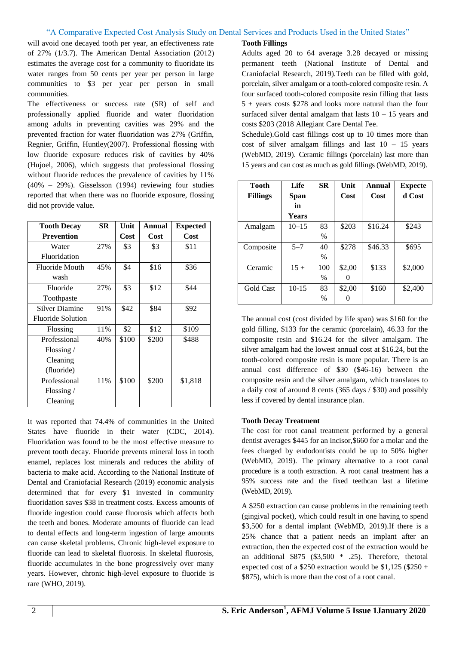will avoid one decayed tooth per year, an effectiveness rate of 27% (1/3.7). The American Dental Association (2012) estimates the average cost for a community to fluoridate its water ranges from 50 cents per year per person in large communities to \$3 per year per person in small communities.

The effectiveness or success rate (SR) of self and professionally applied fluoride and water fluoridation among adults in preventing cavities was 29% and the prevented fraction for water fluoridation was 27% (Griffin, Regnier, Griffin, Huntley(2007). Professional flossing with low fluoride exposure reduces risk of cavities by 40% (Hujoel, 2006), which suggests that professional flossing without fluoride reduces the prevalence of cavities by 11% (40% – 29%). Gisselsson (1994) reviewing four studies reported that when there was no fluoride exposure, flossing did not provide value.

| <b>Tooth Decay</b>    | <b>SR</b> | Unit  | Annual | <b>Expected</b> |
|-----------------------|-----------|-------|--------|-----------------|
| <b>Prevention</b>     |           | Cost  | Cost   | Cost            |
| Water                 | 27%       | \$3   | \$3    | \$11            |
| Fluoridation          |           |       |        |                 |
| <b>Fluoride Mouth</b> | 45%       | \$4   | \$16   | \$36            |
| wash                  |           |       |        |                 |
| Fluoride              | 27%       | \$3   | \$12   | \$44            |
| Toothpaste            |           |       |        |                 |
| <b>Silver Diamine</b> | 91%       | \$42  | \$84   | \$92            |
| Fluoride Solution     |           |       |        |                 |
| Flossing              | 11%       | \$2   | \$12   | \$109           |
| Professional          | 40%       | \$100 | \$200  | \$488           |
| Flossing $\sqrt{ }$   |           |       |        |                 |
| Cleaning              |           |       |        |                 |
| (fluoride)            |           |       |        |                 |
| Professional          | 11%       | \$100 | \$200  | \$1,818         |
| Flossing $/$          |           |       |        |                 |
| Cleaning              |           |       |        |                 |

It was reported that 74.4% of communities in the United States have fluoride in their water (CDC, 2014). Fluoridation was found to be the most effective measure to prevent tooth decay. Fluoride prevents mineral loss in tooth enamel, replaces lost minerals and reduces the ability of bacteria to make acid. According to the National Institute of Dental and Craniofacial Research (2019) economic analysis determined that for every \$1 invested in community fluoridation saves \$38 in treatment costs. Excess amounts of fluoride ingestion could cause fluorosis which affects both the teeth and bones. Moderate amounts of fluoride can lead to dental effects and long-term ingestion of large amounts can cause skeletal problems. Chronic high-level exposure to fluoride can lead to skeletal fluorosis. In skeletal fluorosis, fluoride accumulates in the bone progressively over many years. However, chronic high-level exposure to fluoride is rare (WHO, 2019).

## **Tooth Fillings**

Adults aged 20 to 64 average 3.28 decayed or missing permanent teeth (National Institute of Dental and Craniofacial Research, 2019).Teeth can be filled with gold, porcelain, silver amalgam or a tooth-colored composite resin. A four surfaced tooth-colored composite resin filling that lasts 5 + years costs \$278 and looks more natural than the four surfaced silver dental amalgam that lasts  $10 - 15$  years and costs \$203 (2018 Allegiant Care Dental Fee.

Schedule).Gold cast fillings cost up to 10 times more than cost of silver amalgam fillings and last  $10 - 15$  years (WebMD, 2019). Ceramic fillings (porcelain) last more than 15 years and can cost as much as gold fillings (WebMD, 2019).

| Tooth            | <b>Life</b>  | <b>SR</b> | Unit   | Annual  | <b>Expecte</b> |
|------------------|--------------|-----------|--------|---------|----------------|
| <b>Fillings</b>  | Span         |           | Cost   | Cost    | d Cost         |
|                  | in           |           |        |         |                |
|                  | <b>Years</b> |           |        |         |                |
| Amalgam          | $10 - 15$    | 83        | \$203  | \$16.24 | \$243          |
|                  |              | $\%$      |        |         |                |
| Composite        | $5 - 7$      | 40        | \$278  | \$46.33 | \$695          |
|                  |              | $\%$      |        |         |                |
| Ceramic          | $15 +$       | 100       | \$2,00 | \$133   | \$2,000        |
|                  |              | $\%$      |        |         |                |
| <b>Gold Cast</b> | $10-15$      | 83        | \$2,00 | \$160   | \$2,400        |
|                  |              | %         |        |         |                |

The annual cost (cost divided by life span) was \$160 for the gold filling, \$133 for the ceramic (porcelain), 46.33 for the composite resin and \$16.24 for the silver amalgam. The silver amalgam had the lowest annual cost at \$16.24, but the tooth-colored composite resin is more popular. There is an annual cost difference of \$30 (\$46-16) between the composite resin and the silver amalgam, which translates to a daily cost of around 8 cents (365 days / \$30) and possibly less if covered by dental insurance plan.

## **Tooth Decay Treatment**

The cost for root canal treatment performed by a general dentist averages \$445 for an incisor,\$660 for a molar and the fees charged by endodontists could be up to 50% higher (WebMD, 2019). The primary alternative to a root canal procedure is a tooth extraction. A root canal treatment has a 95% success rate and the fixed teethcan last a lifetime (WebMD, 2019).

A \$250 extraction can cause problems in the remaining teeth (gingival pocket), which could result in one having to spend \$3,500 for a dental implant (WebMD, 2019).If there is a 25% chance that a patient needs an implant after an extraction, then the expected cost of the extraction would be an additional  $$875$  (\$3,500  $*$  .25). Therefore, the total expected cost of a \$250 extraction would be  $$1.125$  (\$250 + \$875), which is more than the cost of a root canal.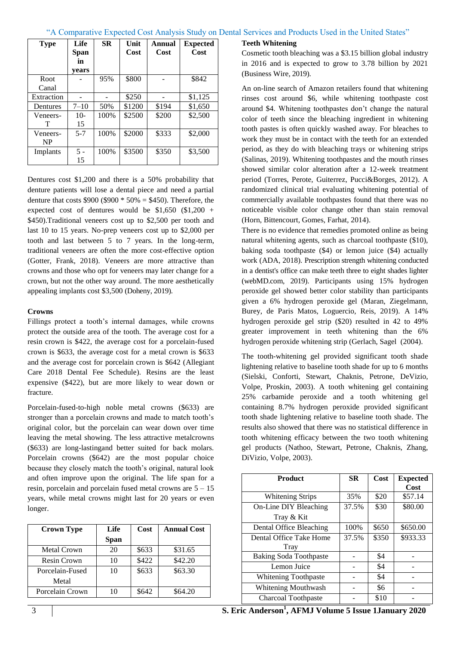| <b>Type</b>           | Life<br>Span<br>in<br>vears | SR    | Unit<br>Cost | Annual<br>Cost | <b>Expected</b><br>Cost |
|-----------------------|-----------------------------|-------|--------------|----------------|-------------------------|
| Root<br>Canal         |                             | 95%   | \$800        |                | \$842                   |
| Extraction            |                             |       | \$250        |                | \$1,125                 |
| Dentures              | $7 - 10$                    | 50%   | \$1200       | \$194          | \$1,650                 |
| Veneers-<br>T         | $10-$<br>15                 | 100\% | \$2500       | \$200          | \$2,500                 |
| Veneers-<br><b>NP</b> | $5 - 7$                     | 100%  | \$2000       | \$333          | \$2,000                 |
| Implants              | $5 -$<br>15                 | 100%  | \$3500       | \$350          | \$3,500                 |

Dentures cost \$1,200 and there is a 50% probability that denture patients will lose a dental piece and need a partial denture that costs  $$900 ($900 * 50\% = $450)$ . Therefore, the expected cost of dentures would be  $$1,650$  (\$1,200 + \$450).Traditional veneers cost up to \$2,500 per tooth and last 10 to 15 years. No-prep veneers cost up to \$2,000 per tooth and last between 5 to 7 years. In the long-term, traditional veneers are often the more cost-effective option (Gotter, Frank, 2018). Veneers are more attractive than crowns and those who opt for veneers may later change for a crown, but not the other way around. The more aesthetically appealing implants cost \$3,500 (Doheny, 2019).

## **Crowns**

Fillings protect a tooth's internal damages, while crowns protect the outside area of the tooth. The average cost for a resin crown is \$422, the average cost for a porcelain-fused crown is \$633, the average cost for a metal crown is \$633 and the average cost for porcelain crown is \$642 (Allegiant Care 2018 Dental Fee Schedule). Resins are the least expensive (\$422), but are more likely to wear down or fracture.

Porcelain-fused-to-high noble metal crowns (\$633) are stronger than a porcelain crowns and made to match tooth's original color, but the porcelain can wear down over time leaving the metal showing. The less attractive metalcrowns (\$633) are long-lastingand better suited for back molars. Porcelain crowns (\$642) are the most popular choice because they closely match the tooth's original, natural look and often improve upon the original. The life span for a resin, porcelain and porcelain fused metal crowns are 5 – 15 years, while metal crowns might last for 20 years or even longer.

| <b>Crown Type</b>  | Life        | Cost  | <b>Annual Cost</b> |
|--------------------|-------------|-------|--------------------|
|                    | <b>Span</b> |       |                    |
| <b>Metal Crown</b> | 20          | \$633 | \$31.65            |
| Resin Crown        | 10          | \$422 | \$42.20            |
| Porcelain-Fused    | 10          | \$633 | \$63.30            |
| Metal              |             |       |                    |
| Porcelain Crown    | 10          | \$642 | \$64.20            |

#### **Teeth Whitening**

Cosmetic tooth bleaching was a \$3.15 billion global industry in 2016 and is expected to grow to 3.78 billion by 2021 (Business Wire, 2019).

An on-line search of Amazon retailers found that whitening rinses cost around \$6, while whitening toothpaste cost around \$4. Whitening toothpastes don't change the natural color of teeth since the bleaching ingredient in whitening tooth pastes is often quickly washed away. For bleaches to work they must be in contact with the teeth for an extended period, as they do with bleaching trays or whitening strips (Salinas, 2019). Whitening toothpastes and the mouth rinses showed similar color alteration after a 12-week treatment period (Torres, Perote, Guiterrez, Pucci&Borges, 2012). A randomized clinical trial evaluating whitening potential of commercially available toothpastes found that there was no noticeable visible color change other than stain removal (Horn, Bittencourt, Gomes, Farhat, 2014).

There is no evidence that remedies promoted online as being natural whitening agents, such as charcoal toothpaste (\$10), baking soda toothpaste (\$4) or lemon juice (\$4) actually work (ADA, 2018). Prescription strength whitening conducted in a dentist's office can make teeth three to eight shades lighter (webMD.com, 2019). Participants using 15% hydrogen peroxide gel showed better color stability than participants given a 6% hydrogen peroxide gel (Maran, Ziegelmann, Burey, de Paris Matos, Loguercio, Reis, 2019). A 14% hydrogen peroxide gel strip (\$20) resulted in 42 to 49% greater improvement in teeth whitening than the 6% hydrogen peroxide whitening strip (Gerlach, Sagel (2004).

The tooth-whitening gel provided significant tooth shade lightening relative to baseline tooth shade for up to 6 months (Sielski, Conforti, Stewart, Chaknis, Petrone, DeVizio, Volpe, Proskin, 2003). A tooth whitening gel containing 25% carbamide peroxide and a tooth whitening gel containing 8.7% hydrogen peroxide provided significant tooth shade lightening relative to baseline tooth shade. The results also showed that there was no statistical difference in tooth whitening efficacy between the two tooth whitening gel products (Nathoo, Stewart, Petrone, Chaknis, Zhang, DiVizio, Volpe, 2003).

| <b>Product</b>                | <b>SR</b> | Cost  | <b>Expected</b> |
|-------------------------------|-----------|-------|-----------------|
|                               |           |       | Cost            |
| <b>Whitening Strips</b>       | 35%       | \$20  | \$57.14         |
| On-Line DIY Bleaching         | 37.5%     | \$30  | \$80.00         |
| Tray & Kit                    |           |       |                 |
| Dental Office Bleaching       | 100%      | \$650 | \$650.00        |
| Dental Office Take Home       | 37.5%     | \$350 | \$933.33        |
| Tray                          |           |       |                 |
| <b>Baking Soda Toothpaste</b> |           | \$4   |                 |
| Lemon Juice                   |           | \$4   |                 |
| Whitening Toothpaste          |           | \$4   |                 |
| Whitening Mouthwash           |           | \$6   |                 |
| Charcoal Toothpaste           |           | \$10  |                 |

3 **S. Eric Anderson<sup>1</sup> , AFMJ Volume 5 Issue 1January 2020**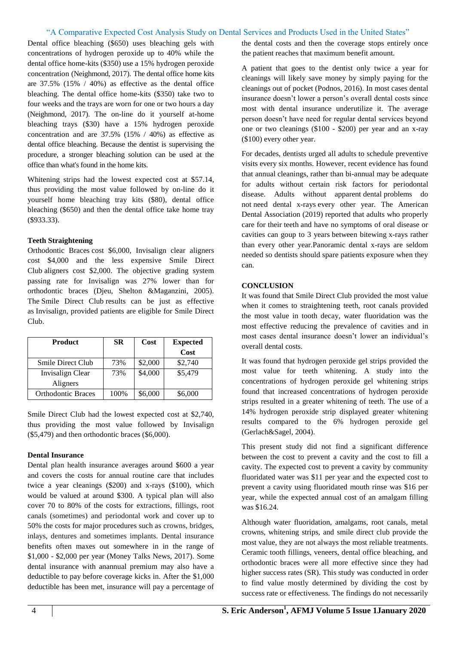Dental office bleaching (\$650) uses bleaching gels with concentrations of hydrogen peroxide up to 40% while the dental office home-kits (\$350) use a 15% hydrogen peroxide concentration (Neighmond, 2017). The dental office home kits are 37.5% (15% / 40%) as effective as the dental office bleaching. The dental office home-kits (\$350) take two to four weeks and the trays are worn for one or two hours a day (Neighmond, 2017). The on-line do it yourself at-home bleaching trays (\$30) have a 15% hydrogen peroxide concentration and are 37.5% (15% / 40%) as effective as dental office bleaching. Because the dentist is supervising the procedure, a stronger bleaching solution can be used at the office than what's found in the home kits.

Whitening strips had the lowest expected cost at \$57.14, thus providing the most value followed by on-line do it yourself home bleaching tray kits (\$80), dental office bleaching (\$650) and then the dental office take home tray (\$933.33).

## **Teeth Straightening**

Orthodontic Braces cost \$6,000, Invisalign clear aligners cost \$4,000 and the less expensive Smile Direct Club aligners cost \$2,000. The objective grading system passing rate for Invisalign was 27% lower than for orthodontic braces (Djeu, Shelton &Maganzini, 2005). The Smile Direct Club results can be just as effective as Invisalign, provided patients are eligible for Smile Direct Club.

| <b>Product</b>            | SR   | Cost    | <b>Expected</b> |
|---------------------------|------|---------|-----------------|
|                           |      |         | Cost            |
| <b>Smile Direct Club</b>  | 73%  | \$2,000 | \$2,740         |
| Invisalign Clear          | 73%  | \$4,000 | \$5,479         |
| Aligners                  |      |         |                 |
| <b>Orthodontic Braces</b> | 100% | \$6,000 | \$6,000         |

Smile Direct Club had the lowest expected cost at \$2,740, thus providing the most value followed by Invisalign (\$5,479) and then orthodontic braces (\$6,000).

## **Dental Insurance**

Dental plan health insurance averages around \$600 a year and covers the costs for annual routine care that includes twice a year cleanings (\$200) and x-rays (\$100), which would be valued at around \$300. A typical plan will also cover 70 to 80% of the costs for extractions, fillings, root canals (sometimes) and periodontal work and cover up to 50% the costs for major procedures such as crowns, bridges, inlays, dentures and sometimes implants. Dental insurance benefits often maxes out somewhere in in the range of \$1,000 - \$2,000 per year (Money Talks News, 2017). Some dental insurance with anannual premium may also have a deductible to pay before coverage kicks in. After the \$1,000 deductible has been met, insurance will pay a percentage of the dental costs and then the coverage stops entirely once the patient reaches that maximum benefit amount.

A patient that goes to the dentist only twice a year for cleanings will likely save money by simply paying for the cleanings out of pocket (Podnos, 2016). In most cases dental insurance doesn't lower a person's overall dental costs since most with dental insurance underutilize it. The average person doesn't have need for regular dental services beyond one or two cleanings (\$100 - \$200) per year and an x-ray (\$100) every other year.

For decades, dentists urged all adults to schedule preventive visits every six months. However, recent evidence has found that annual cleanings, rather than bi-annual may be adequate for adults without certain risk factors for periodontal disease. Adults without apparent dental problems do not need dental x*-*rays every other year*.* The American Dental Association (2019) reported that adults who properly care for their teeth and have no symptoms of oral disease or cavities can goup to 3 years between bitewing x*-*rays rather than every other year*.*Panoramic dental x-rays are seldom needed so dentists should spare patients exposure when they can.

## **CONCLUSION**

It was found that Smile Direct Club provided the most value when it comes to straightening teeth, root canals provided the most value in tooth decay, water fluoridation was the most effective reducing the prevalence of cavities and in most cases dental insurance doesn't lower an individual's overall dental costs.

It was found that hydrogen peroxide gel strips provided the most value for teeth whitening. A study into the concentrations of hydrogen peroxide gel whitening strips found that increased concentrations of hydrogen peroxide strips resulted in a greater whitening of teeth. The use of a 14% hydrogen peroxide strip displayed greater whitening results compared to the 6% hydrogen peroxide gel (Gerlach&Sagel, 2004).

This present study did not find a significant difference between the cost to prevent a cavity and the cost to fill a cavity. The expected cost to prevent a cavity by community fluoridated water was \$11 per year and the expected cost to prevent a cavity using fluoridated mouth rinse was \$16 per year, while the expected annual cost of an amalgam filling was \$16.24.

Although water fluoridation, amalgams, root canals, metal crowns, whitening strips, and smile direct club provide the most value, they are not always the most reliable treatments. Ceramic tooth fillings, veneers, dental office bleaching, and orthodontic braces were all more effective since they had higher success rates (SR). This study was conducted in order to find value mostly determined by dividing the cost by success rate or effectiveness. The findings do not necessarily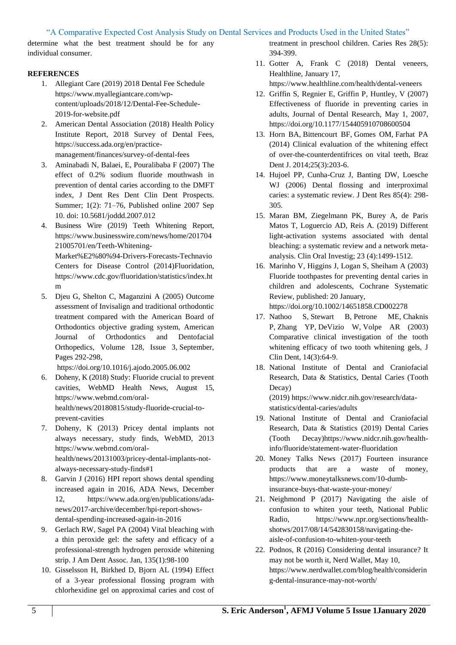determine what the best treatment should be for any individual consumer.

## **REFERENCES**

- 1. Allegiant Care (2019) 2018 Dental Fee Schedule [https://www.myallegiantcare.com/wp](https://www.myallegiantcare.com/wp-content/uploads/2018/12/Dental-Fee-Schedule-2019-for-website.pdf)[content/uploads/2018/12/Dental-Fee-Schedule-](https://www.myallegiantcare.com/wp-content/uploads/2018/12/Dental-Fee-Schedule-2019-for-website.pdf)[2019-for-website.pdf](https://www.myallegiantcare.com/wp-content/uploads/2018/12/Dental-Fee-Schedule-2019-for-website.pdf)
- 2. American Dental Association (2018) Health Policy Institute Report, 2018 Survey of Dental Fees, [https://success.ada.org/en/practice](https://success.ada.org/en/practice-management/finances/survey-of-dental-fees)[management/finances/survey-of-dental-fees](https://success.ada.org/en/practice-management/finances/survey-of-dental-fees)
- 3. Aminabadi N, Balaei, E, Pouralibaba F (2007) The effect of 0.2% sodium fluoride mouthwash in prevention of dental caries according to the DMFT index, [J Dent Res Dent Clin Dent Prospects.](https://www.ncbi.nlm.nih.gov/pmc/articles/PMC3525928/) Summer; 1(2): 71–76, Published online 2007 Sep 10. doi: [10.5681/joddd.2007.012](https://dx.doi.org/10.5681%2Fjoddd.2007.012)
- 4. Business Wire (2019) Teeth Whitening Report, [https://www.businesswire.com/news/home/201704](https://www.businesswire.com/news/home/20170421005701/en/Teeth-Whitening-Market%E2%80%94-Drivers-Forecasts-Technavio) [21005701/en/Teeth-Whitening-](https://www.businesswire.com/news/home/20170421005701/en/Teeth-Whitening-Market%E2%80%94-Drivers-Forecasts-Technavio)

[Market%E2%80%94-Drivers-Forecasts-Technavio](https://www.businesswire.com/news/home/20170421005701/en/Teeth-Whitening-Market%E2%80%94-Drivers-Forecasts-Technavio) Centers for Disease Control (2014)Fluoridation, [https://www.cdc.gov/fluoridation/statistics/index.ht](https://www.cdc.gov/fluoridation/statistics/index.htm) [m](https://www.cdc.gov/fluoridation/statistics/index.htm)

5. Djeu G, Shelton C, Maganzini A (2005) Outcome assessment of Invisalign and traditional orthodontic treatment compared with the American Board of Orthodontics objective grading system, [American](https://www.sciencedirect.com/science/journal/08895406)  [Journal of Orthodontics and Dentofacial](https://www.sciencedirect.com/science/journal/08895406)  [Orthopedics,](https://www.sciencedirect.com/science/journal/08895406) [Volume 128, Issue 3,](https://www.sciencedirect.com/science/journal/08895406/128/3) September, Pages 292-298,

<https://doi.org/10.1016/j.ajodo.2005.06.002>

- 6. Doheny, K (2018) Study: Fluoride crucial to prevent cavities, WebMD Health News, August 15, [https://www.webmd.com/oral](https://www.webmd.com/oral-health/news/20180815/study-fluoride-crucial-to-prevent-cavities)[health/news/20180815/study-fluoride-crucial-to](https://www.webmd.com/oral-health/news/20180815/study-fluoride-crucial-to-prevent-cavities)[prevent-cavities](https://www.webmd.com/oral-health/news/20180815/study-fluoride-crucial-to-prevent-cavities)
- 7. Doheny, K (2013) Pricey dental implants not always necessary, study finds, WebMD, 2013 [https://www.webmd.com/oral](https://www.webmd.com/oral-health/news/20131003/pricey-dental-implants-not-always-necessary-study-finds#1)[health/news/20131003/pricey-dental-implants-not](https://www.webmd.com/oral-health/news/20131003/pricey-dental-implants-not-always-necessary-study-finds#1)[always-necessary-study-finds#1](https://www.webmd.com/oral-health/news/20131003/pricey-dental-implants-not-always-necessary-study-finds#1)
- 8. Garvin J (2016) HPI report shows dental spending increased again in 2016, ADA News, December 12, [https://www.ada.org/en/publications/ada](https://www.ada.org/en/publications/ada-news/2017-archive/december/hpi-report-shows-dental-spending-increased-again-in-2016)[news/2017-archive/december/hpi-report-shows](https://www.ada.org/en/publications/ada-news/2017-archive/december/hpi-report-shows-dental-spending-increased-again-in-2016)[dental-spending-increased-again-in-2016](https://www.ada.org/en/publications/ada-news/2017-archive/december/hpi-report-shows-dental-spending-increased-again-in-2016)
- 9. [Gerlach RW,](https://www.ncbi.nlm.nih.gov/pubmed/?term=Gerlach%20RW%5BAuthor%5D&cauthor=true&cauthor_uid=14959882) [Sagel PA](https://www.ncbi.nlm.nih.gov/pubmed/?term=Sagel%20PA%5BAuthor%5D&cauthor=true&cauthor_uid=14959882) (2004) Vital bleaching with a thin peroxide gel: the safety and efficacy of a professional-strength hydrogen peroxide whitening strip. [J Am Dent Assoc.](https://www.ncbi.nlm.nih.gov/pubmed/14959882) Jan, 135(1):98-100
- 10. Gisselsson H, Birkhed D, Bjorn AL (1994) Effect of a 3-year professional flossing program with chlorhexidine gel on approximal caries and cost of

treatment in preschool children. Caries Res 28(5): 394-399.

11. Gotter A, Frank C (2018) Dental veneers, Healthline, January 17,

<https://www.healthline.com/health/dental-veneers>

- 12. Griffin S, Regnier E, Griffin P, Huntley, V (2007) Effectiveness of fluoride in preventing caries in adults, Journal of Dental Research, May 1, 2007, [https://doi.org/10.1177/154405910708600504](https://doi.org/10.1177%2F154405910708600504)
- 13. [Horn BA,](https://www.ncbi.nlm.nih.gov/pubmed/?term=Horn%20BA%5BAuthor%5D&cauthor=true&cauthor_uid=25252254) [Bittencourt BF,](https://www.ncbi.nlm.nih.gov/pubmed/?term=Bittencourt%20BF%5BAuthor%5D&cauthor=true&cauthor_uid=25252254) [Gomes OM,](https://www.ncbi.nlm.nih.gov/pubmed/?term=Gomes%20OM%5BAuthor%5D&cauthor=true&cauthor_uid=25252254) [Farhat PA](https://www.ncbi.nlm.nih.gov/pubmed/?term=Farhat%20PA%5BAuthor%5D&cauthor=true&cauthor_uid=25252254) (2014) Clinical evaluation of the whitening effect of over-the-counterdentifrices on vital teeth, [Braz](https://www.ncbi.nlm.nih.gov/pubmed/25252254)  [Dent J.](https://www.ncbi.nlm.nih.gov/pubmed/25252254) 2014;25(3):203-6.
- 14. Hujoel PP, Cunha-Cruz J, Banting DW, Loesche WJ (2006) Dental flossing and interproximal caries: a systematic review. J Dent Res 85(4): 298- 305.
- 15. Maran BM, Ziegelmann PK, Burey A, de Paris Matos T, Loguercio AD, Reis A. (2019) Different light-activation systems associated with dental bleaching: a systematic review and a network metaanalysis. Clin Oral Investig; 23 (4):1499-1512.
- 16. Marinho V, Higgins J, Logan S, Sheiham A (2003) Fluoride toothpastes for preventing dental caries in children and adolescents, Cochrane Systematic Review, published: 20 January,

<https://doi.org/10.1002/14651858.CD002278>

- 17. [Nathoo S,](https://www.ncbi.nlm.nih.gov/pubmed/?term=Nathoo%20S%5BAuthor%5D&cauthor=true&cauthor_uid=14520776) [Stewart B,](https://www.ncbi.nlm.nih.gov/pubmed/?term=Stewart%20B%5BAuthor%5D&cauthor=true&cauthor_uid=14520776) [Petrone ME,](https://www.ncbi.nlm.nih.gov/pubmed/?term=Petrone%20ME%5BAuthor%5D&cauthor=true&cauthor_uid=14520776) [Chaknis](https://www.ncbi.nlm.nih.gov/pubmed/?term=Chaknis%20P%5BAuthor%5D&cauthor=true&cauthor_uid=14520776)  [P,](https://www.ncbi.nlm.nih.gov/pubmed/?term=Chaknis%20P%5BAuthor%5D&cauthor=true&cauthor_uid=14520776) [Zhang YP,](https://www.ncbi.nlm.nih.gov/pubmed/?term=Zhang%20YP%5BAuthor%5D&cauthor=true&cauthor_uid=14520776) [DeVizio W,](https://www.ncbi.nlm.nih.gov/pubmed/?term=DeVizio%20W%5BAuthor%5D&cauthor=true&cauthor_uid=14520776) [Volpe AR](https://www.ncbi.nlm.nih.gov/pubmed/?term=Volpe%20AR%5BAuthor%5D&cauthor=true&cauthor_uid=14520776) (2003) Comparative clinical investigation of the tooth whitening efficacy of two tooth whitening gels, J Clin Dent, 14(3):64-9.
- 18. [National Institute of Dental and Craniofacial](https://www.nidcr.nih.gov/)  [Research,](https://www.nidcr.nih.gov/) [Data & Statistics,](https://www.nidcr.nih.gov/research/data-statistics) [Dental Caries \(Tooth](https://www.nidcr.nih.gov/research/data-statistics/dental-caries)  [Decay\)](https://www.nidcr.nih.gov/research/data-statistics/dental-caries) (2019) [https://www.nidcr.nih.gov/research/data-](https://www.nidcr.nih.gov/research/data-statistics/dental-caries/adults)

[statistics/dental-caries/adults](https://www.nidcr.nih.gov/research/data-statistics/dental-caries/adults)

- 19. [National Institute of Dental and Craniofacial](https://www.nidcr.nih.gov/)  [Research,](https://www.nidcr.nih.gov/) [Data & Statistics](https://www.nidcr.nih.gov/research/data-statistics) (2019) [Dental Caries](https://www.nidcr.nih.gov/research/data-statistics/dental-caries)  [\(Tooth Decay\)https://www.nidcr.nih.gov/health](https://www.nidcr.nih.gov/research/data-statistics/dental-caries)info/fluoride/statement-water-fluoridation
- 20. Money Talks News (2017) Fourteen insurance products that are a waste of money, [https://www.moneytalksnews.com/10-dumb](https://www.moneytalksnews.com/10-dumb-insurance-buys-that-waste-your-money/)[insurance-buys-that-waste-your-money/](https://www.moneytalksnews.com/10-dumb-insurance-buys-that-waste-your-money/)
- 21. Neighmond P (2017) Navigating the aisle of confusion to whiten your teeth, National Public Radio, [https://www.npr.org/sections/health](https://www.npr.org/sections/health-shotws/2017/08/14/542830158/navigating-the-aisle-of-confusion-to-whiten-your-teeth)[shotws/2017/08/14/542830158/navigating-the](https://www.npr.org/sections/health-shotws/2017/08/14/542830158/navigating-the-aisle-of-confusion-to-whiten-your-teeth)[aisle-of-confusion-to-whiten-your-teeth](https://www.npr.org/sections/health-shotws/2017/08/14/542830158/navigating-the-aisle-of-confusion-to-whiten-your-teeth)
- 22. Podnos, R (2016) Considering dental insurance? It may not be worth it, Nerd Wallet, May 10, [https://www.nerdwallet.com/blog/health/considerin](https://www.nerdwallet.com/blog/health/considering-dental-insurance-may-not-worth/) [g-dental-insurance-may-not-worth/](https://www.nerdwallet.com/blog/health/considering-dental-insurance-may-not-worth/)